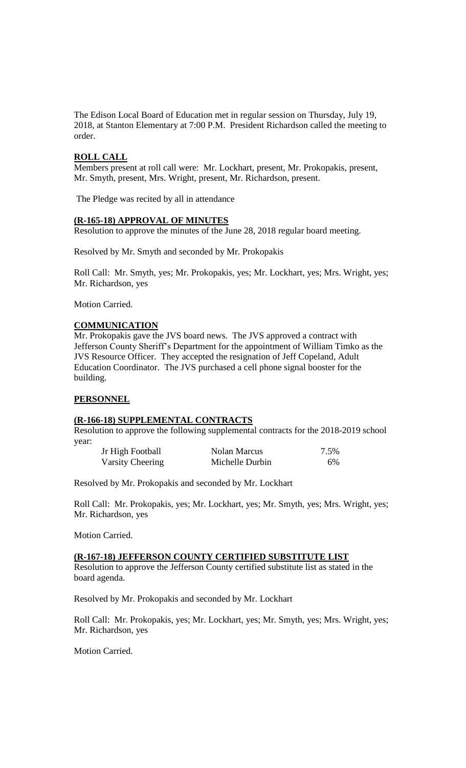The Edison Local Board of Education met in regular session on Thursday, July 19, 2018, at Stanton Elementary at 7:00 P.M. President Richardson called the meeting to order.

### **ROLL CALL**

Members present at roll call were: Mr. Lockhart, present, Mr. Prokopakis, present, Mr. Smyth, present, Mrs. Wright, present, Mr. Richardson, present.

The Pledge was recited by all in attendance

### **(R-165-18) APPROVAL OF MINUTES**

Resolution to approve the minutes of the June 28, 2018 regular board meeting.

Resolved by Mr. Smyth and seconded by Mr. Prokopakis

Roll Call: Mr. Smyth, yes; Mr. Prokopakis, yes; Mr. Lockhart, yes; Mrs. Wright, yes; Mr. Richardson, yes

Motion Carried.

# **COMMUNICATION**

Mr. Prokopakis gave the JVS board news. The JVS approved a contract with Jefferson County Sheriff's Department for the appointment of William Timko as the JVS Resource Officer. They accepted the resignation of Jeff Copeland, Adult Education Coordinator. The JVS purchased a cell phone signal booster for the building.

#### **PERSONNEL**

#### **(R-166-18) SUPPLEMENTAL CONTRACTS**

Resolution to approve the following supplemental contracts for the 2018-2019 school year:

| Jr High Football        | Nolan Marcus    | 7.5% |
|-------------------------|-----------------|------|
| <b>Varsity Cheering</b> | Michelle Durbin | 6%   |

Resolved by Mr. Prokopakis and seconded by Mr. Lockhart

Roll Call: Mr. Prokopakis, yes; Mr. Lockhart, yes; Mr. Smyth, yes; Mrs. Wright, yes; Mr. Richardson, yes

Motion Carried.

# **(R-167-18) JEFFERSON COUNTY CERTIFIED SUBSTITUTE LIST**

Resolution to approve the Jefferson County certified substitute list as stated in the board agenda.

Resolved by Mr. Prokopakis and seconded by Mr. Lockhart

Roll Call: Mr. Prokopakis, yes; Mr. Lockhart, yes; Mr. Smyth, yes; Mrs. Wright, yes; Mr. Richardson, yes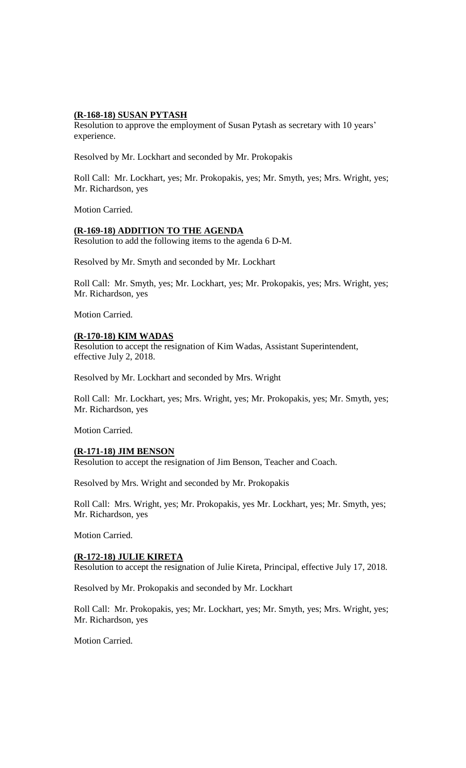### **(R-168-18) SUSAN PYTASH**

Resolution to approve the employment of Susan Pytash as secretary with 10 years' experience.

Resolved by Mr. Lockhart and seconded by Mr. Prokopakis

Roll Call: Mr. Lockhart, yes; Mr. Prokopakis, yes; Mr. Smyth, yes; Mrs. Wright, yes; Mr. Richardson, yes

Motion Carried.

### **(R-169-18) ADDITION TO THE AGENDA**

Resolution to add the following items to the agenda 6 D-M.

Resolved by Mr. Smyth and seconded by Mr. Lockhart

Roll Call: Mr. Smyth, yes; Mr. Lockhart, yes; Mr. Prokopakis, yes; Mrs. Wright, yes; Mr. Richardson, yes

Motion Carried.

# **(R-170-18) KIM WADAS**

Resolution to accept the resignation of Kim Wadas, Assistant Superintendent, effective July 2, 2018.

Resolved by Mr. Lockhart and seconded by Mrs. Wright

Roll Call: Mr. Lockhart, yes; Mrs. Wright, yes; Mr. Prokopakis, yes; Mr. Smyth, yes; Mr. Richardson, yes

Motion Carried.

# **(R-171-18) JIM BENSON**

Resolution to accept the resignation of Jim Benson, Teacher and Coach.

Resolved by Mrs. Wright and seconded by Mr. Prokopakis

Roll Call: Mrs. Wright, yes; Mr. Prokopakis, yes Mr. Lockhart, yes; Mr. Smyth, yes; Mr. Richardson, yes

Motion Carried.

# **(R-172-18) JULIE KIRETA**

Resolution to accept the resignation of Julie Kireta, Principal, effective July 17, 2018.

Resolved by Mr. Prokopakis and seconded by Mr. Lockhart

Roll Call: Mr. Prokopakis, yes; Mr. Lockhart, yes; Mr. Smyth, yes; Mrs. Wright, yes; Mr. Richardson, yes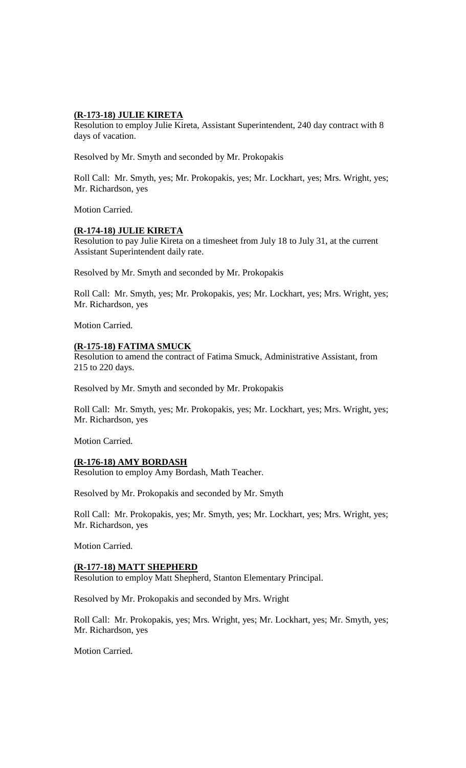### **(R-173-18) JULIE KIRETA**

Resolution to employ Julie Kireta, Assistant Superintendent, 240 day contract with 8 days of vacation.

Resolved by Mr. Smyth and seconded by Mr. Prokopakis

Roll Call: Mr. Smyth, yes; Mr. Prokopakis, yes; Mr. Lockhart, yes; Mrs. Wright, yes; Mr. Richardson, yes

Motion Carried.

# **(R-174-18) JULIE KIRETA**

Resolution to pay Julie Kireta on a timesheet from July 18 to July 31, at the current Assistant Superintendent daily rate.

Resolved by Mr. Smyth and seconded by Mr. Prokopakis

Roll Call: Mr. Smyth, yes; Mr. Prokopakis, yes; Mr. Lockhart, yes; Mrs. Wright, yes; Mr. Richardson, yes

Motion Carried.

# **(R-175-18) FATIMA SMUCK**

Resolution to amend the contract of Fatima Smuck, Administrative Assistant, from 215 to 220 days.

Resolved by Mr. Smyth and seconded by Mr. Prokopakis

Roll Call: Mr. Smyth, yes; Mr. Prokopakis, yes; Mr. Lockhart, yes; Mrs. Wright, yes; Mr. Richardson, yes

Motion Carried.

# **(R-176-18) AMY BORDASH**

Resolution to employ Amy Bordash, Math Teacher.

Resolved by Mr. Prokopakis and seconded by Mr. Smyth

Roll Call: Mr. Prokopakis, yes; Mr. Smyth, yes; Mr. Lockhart, yes; Mrs. Wright, yes; Mr. Richardson, yes

Motion Carried.

#### **(R-177-18) MATT SHEPHERD**

Resolution to employ Matt Shepherd, Stanton Elementary Principal.

Resolved by Mr. Prokopakis and seconded by Mrs. Wright

Roll Call: Mr. Prokopakis, yes; Mrs. Wright, yes; Mr. Lockhart, yes; Mr. Smyth, yes; Mr. Richardson, yes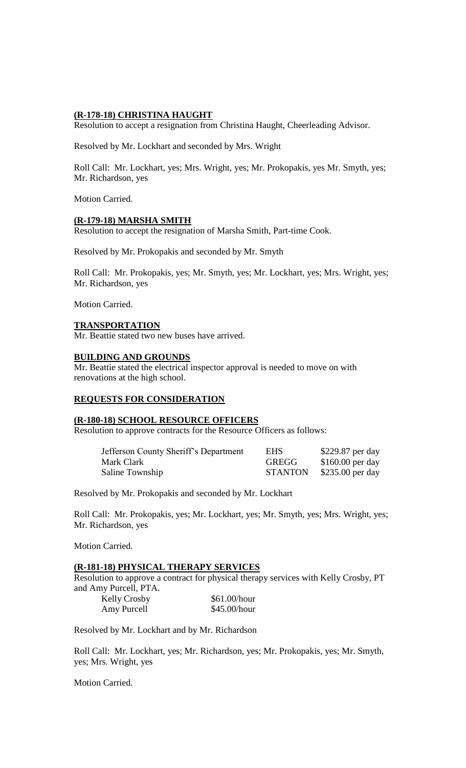### **(R-178-18) CHRISTINA HAUGHT**

Resolution to accept a resignation from Christina Haught, Cheerleading Advisor.

Resolved by Mr. Lockhart and seconded by Mrs. Wright

Roll Call: Mr. Lockhart, yes; Mrs. Wright, yes; Mr. Prokopakis, yes Mr. Smyth, yes; Mr. Richardson, yes

Motion Carried.

#### **(R-179-18) MARSHA SMITH**

Resolution to accept the resignation of Marsha Smith, Part-time Cook.

Resolved by Mr. Prokopakis and seconded by Mr. Smyth

Roll Call: Mr. Prokopakis, yes; Mr. Smyth, yes; Mr. Lockhart, yes; Mrs. Wright, yes; Mr. Richardson, yes

Motion Carried.

### **TRANSPORTATION**

Mr. Beattie stated two new buses have arrived.

### **BUILDING AND GROUNDS**

Mr. Beattie stated the electrical inspector approval is needed to move on with renovations at the high school.

# **REQUESTS FOR CONSIDERATION**

#### **(R-180-18) SCHOOL RESOURCE OFFICERS**

Resolution to approve contracts for the Resource Officers as follows:

| Jefferson County Sheriff's Department | <b>EHS</b>     | \$229.87 per day  |
|---------------------------------------|----------------|-------------------|
| Mark Clark                            | <b>GREGG</b>   | $$160.00$ per day |
| Saline Township                       | <b>STANTON</b> | $$235.00$ per day |

Resolved by Mr. Prokopakis and seconded by Mr. Lockhart

Roll Call: Mr. Prokopakis, yes; Mr. Lockhart, yes; Mr. Smyth, yes; Mrs. Wright, yes; Mr. Richardson, yes

Motion Carried.

#### **(R-181-18) PHYSICAL THERAPY SERVICES**

Resolution to approve a contract for physical therapy services with Kelly Crosby, PT and Amy Purcell, PTA.

| <b>Kelly Crosby</b> | \$61.00/hour |
|---------------------|--------------|
| Amy Purcell         | \$45.00/hour |

Resolved by Mr. Lockhart and by Mr. Richardson

Roll Call: Mr. Lockhart, yes; Mr. Richardson, yes; Mr. Prokopakis, yes; Mr. Smyth, yes; Mrs. Wright, yes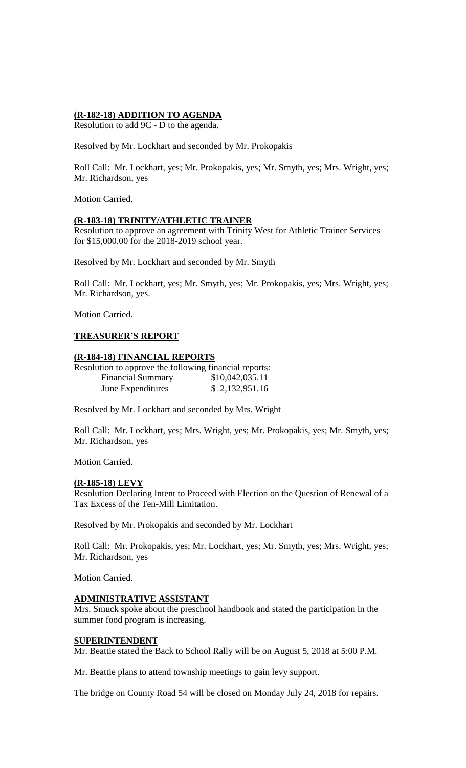# **(R-182-18) ADDITION TO AGENDA**

Resolution to add 9C - D to the agenda.

Resolved by Mr. Lockhart and seconded by Mr. Prokopakis

Roll Call: Mr. Lockhart, yes; Mr. Prokopakis, yes; Mr. Smyth, yes; Mrs. Wright, yes; Mr. Richardson, yes

Motion Carried.

# **(R-183-18) TRINITY/ATHLETIC TRAINER**

Resolution to approve an agreement with Trinity West for Athletic Trainer Services for \$15,000.00 for the 2018-2019 school year.

Resolved by Mr. Lockhart and seconded by Mr. Smyth

Roll Call: Mr. Lockhart, yes; Mr. Smyth, yes; Mr. Prokopakis, yes; Mrs. Wright, yes; Mr. Richardson, yes.

Motion Carried.

# **TREASURER'S REPORT**

### **(R-184-18) FINANCIAL REPORTS**

| Resolution to approve the following financial reports: |                 |
|--------------------------------------------------------|-----------------|
| <b>Financial Summary</b>                               | \$10,042,035.11 |
| June Expenditures                                      | \$2,132,951.16  |

Resolved by Mr. Lockhart and seconded by Mrs. Wright

Roll Call: Mr. Lockhart, yes; Mrs. Wright, yes; Mr. Prokopakis, yes; Mr. Smyth, yes; Mr. Richardson, yes

Motion Carried.

#### **(R-185-18) LEVY**

Resolution Declaring Intent to Proceed with Election on the Question of Renewal of a Tax Excess of the Ten-Mill Limitation.

Resolved by Mr. Prokopakis and seconded by Mr. Lockhart

Roll Call: Mr. Prokopakis, yes; Mr. Lockhart, yes; Mr. Smyth, yes; Mrs. Wright, yes; Mr. Richardson, yes

Motion Carried.

#### **ADMINISTRATIVE ASSISTANT**

Mrs. Smuck spoke about the preschool handbook and stated the participation in the summer food program is increasing.

# **SUPERINTENDENT**

Mr. Beattie stated the Back to School Rally will be on August 5, 2018 at 5:00 P.M.

Mr. Beattie plans to attend township meetings to gain levy support.

The bridge on County Road 54 will be closed on Monday July 24, 2018 for repairs.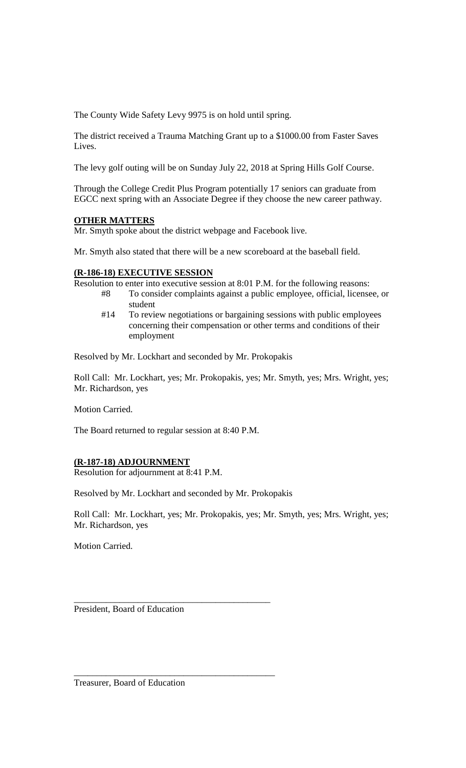The County Wide Safety Levy 9975 is on hold until spring.

The district received a Trauma Matching Grant up to a \$1000.00 from Faster Saves Lives.

The levy golf outing will be on Sunday July 22, 2018 at Spring Hills Golf Course.

Through the College Credit Plus Program potentially 17 seniors can graduate from EGCC next spring with an Associate Degree if they choose the new career pathway.

# **OTHER MATTERS**

Mr. Smyth spoke about the district webpage and Facebook live.

Mr. Smyth also stated that there will be a new scoreboard at the baseball field.

# **(R-186-18) EXECUTIVE SESSION**

Resolution to enter into executive session at 8:01 P.M. for the following reasons:

- #8 To consider complaints against a public employee, official, licensee, or student
- #14 To review negotiations or bargaining sessions with public employees concerning their compensation or other terms and conditions of their employment

Resolved by Mr. Lockhart and seconded by Mr. Prokopakis

Roll Call: Mr. Lockhart, yes; Mr. Prokopakis, yes; Mr. Smyth, yes; Mrs. Wright, yes; Mr. Richardson, yes

Motion Carried.

The Board returned to regular session at 8:40 P.M.

# **(R-187-18) ADJOURNMENT**

Resolution for adjournment at 8:41 P.M.

Resolved by Mr. Lockhart and seconded by Mr. Prokopakis

\_\_\_\_\_\_\_\_\_\_\_\_\_\_\_\_\_\_\_\_\_\_\_\_\_\_\_\_\_\_\_\_\_\_\_\_\_\_\_\_\_\_\_

\_\_\_\_\_\_\_\_\_\_\_\_\_\_\_\_\_\_\_\_\_\_\_\_\_\_\_\_\_\_\_\_\_\_\_\_\_\_\_\_\_\_\_\_

Roll Call: Mr. Lockhart, yes; Mr. Prokopakis, yes; Mr. Smyth, yes; Mrs. Wright, yes; Mr. Richardson, yes

Motion Carried.

President, Board of Education

Treasurer, Board of Education